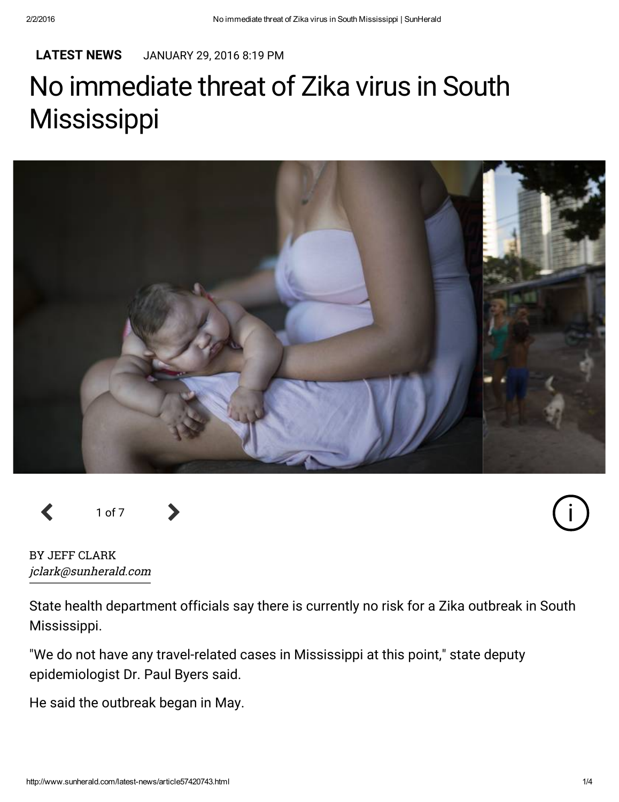#### [LATEST](http://www.sunherald.com/latest-news/) NEWS JANUARY 29, 2016 8:19 PM

# No immediate threat of Zika virus in South **Mississippi**



<sup>1</sup> of <sup>7</sup>



BY JEFF CLARK jclark@sunherald.com

State health department officials say there is currently no risk for a Zika outbreak in South Mississippi.

"We do not have any travel-related cases in Mississippi at this point," state deputy epidemiologist Dr. Paul Byers said.

He said the outbreak began in May.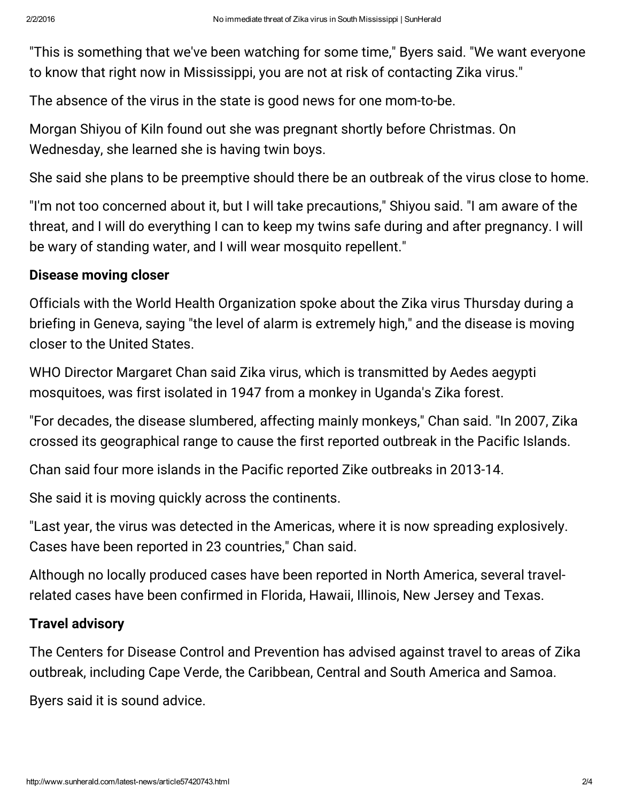"This is something that we've been watching for some time," Byers said. "We want everyone to know that right now in Mississippi, you are not at risk of contacting Zika virus."

The absence of the virus in the state is good news for one mom-to-be.

Morgan Shiyou of Kiln found out she was pregnant shortly before Christmas. On Wednesday, she learned she is having twin boys.

She said she plans to be preemptive should there be an outbreak of the virus close to home.

"I'm not too concerned about it, but I will take precautions," Shiyou said. "I am aware of the threat, and I will do everything I can to keep my twins safe during and after pregnancy. I will be wary of standing water, and I will wear mosquito repellent."

# Disease moving closer

Officials with the World Health Organization spoke about the Zika virus Thursday during a briefing in Geneva, saying "the level of alarm is extremely high," and the disease is moving closer to the United States.

WHO Director Margaret Chan said Zika virus, which is transmitted by Aedes aegypti mosquitoes, was first isolated in 1947 from a monkey in Uganda's Zika forest.

"For decades, the disease slumbered, affecting mainly monkeys," Chan said. "In 2007, Zika crossed its geographical range to cause the first reported outbreak in the Pacific Islands.

Chan said four more islands in the Pacific reported Zike outbreaks in 2013-14.

She said it is moving quickly across the continents.

"Last year, the virus was detected in the Americas, where it is now spreading explosively. Cases have been reported in 23 countries," Chan said.

Although no locally produced cases have been reported in North America, several travelrelated cases have been confirmed in Florida, Hawaii, Illinois, New Jersey and Texas.

# Travel advisory

The Centers for Disease Control and Prevention has advised against travel to areas of Zika outbreak, including Cape Verde, the Caribbean, Central and South America and Samoa.

Byers said it is sound advice.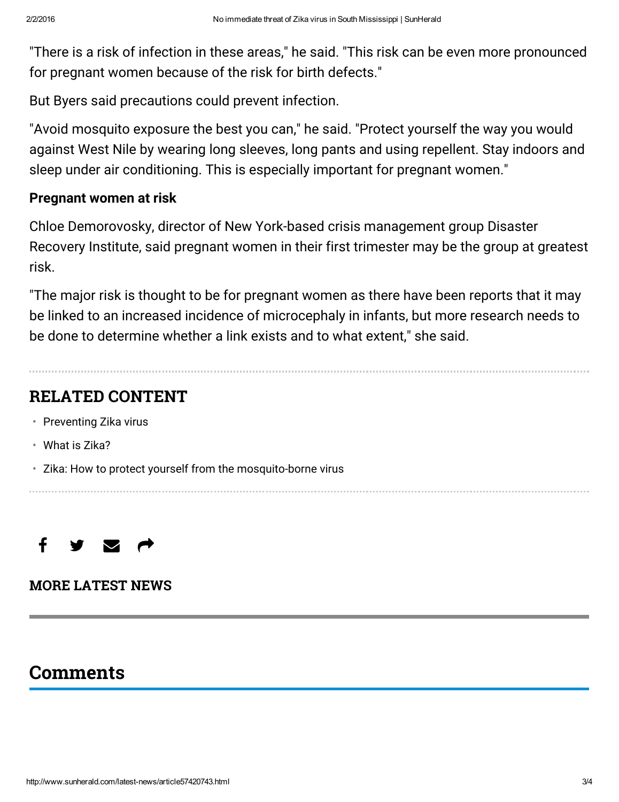"There is a risk of infection in these areas," he said. "This risk can be even more pronounced for pregnant women because of the risk for birth defects."

But Byers said precautions could prevent infection.

"Avoid mosquito exposure the best you can," he said. "Protect yourself the way you would against West Nile by wearing long sleeves, long pants and using repellent. Stay indoors and sleep under air conditioning. This is especially important for pregnant women."

# Pregnant women at risk

Chloe Demorovosky, director of New York-based crisis management group Disaster Recovery Institute, said pregnant women in their first trimester may be the group at greatest risk.

"The major risk is thought to be for pregnant women as there have been reports that it may be linked to an increased incidence of microcephaly in infants, but more research needs to be done to determine whether a link exists and to what extent," she said.

# RELATED CONTENT

- [Preventing](http://www.sunherald.com/news/article57420753.html) Zika virus
- What is [Zika?](http://www.sunherald.com/news/article57420533.html)
- Zika: How to protect yourself from the [mosquito-borne](http://www.sunherald.com/news/nation-world/national/article57246783.html) virus



# MORE [LATEST](http://www.sunherald.com/latest-news/) NEWS

# **Comments**